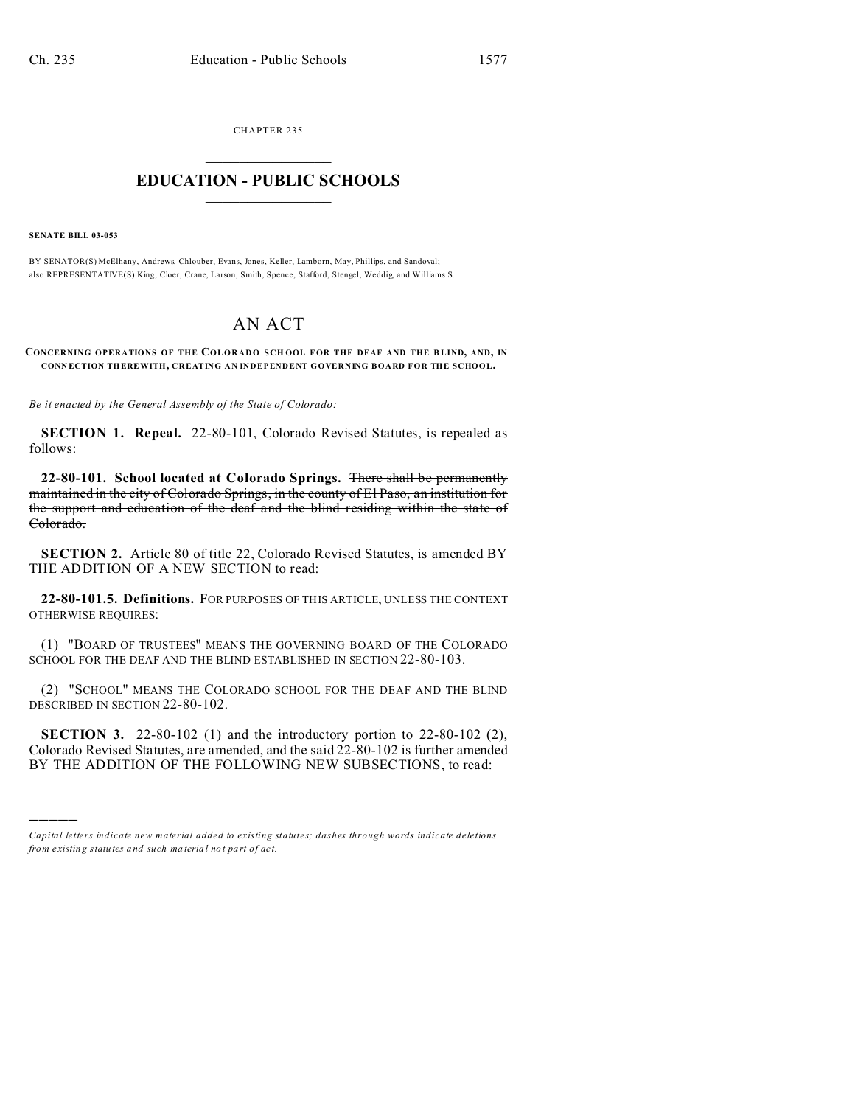CHAPTER 235  $\overline{\phantom{a}}$  , where  $\overline{\phantom{a}}$ 

## **EDUCATION - PUBLIC SCHOOLS**  $\_$   $\_$   $\_$   $\_$   $\_$   $\_$   $\_$   $\_$   $\_$

**SENATE BILL 03-053**

)))))

BY SENATOR(S) McElhany, Andrews, Chlouber, Evans, Jones, Keller, Lamborn, May, Phillips, and Sandoval; also REPRESENTATIVE(S) King, Cloer, Crane, Larson, Smith, Spence, Stafford, Stengel, Weddig, and Williams S.

## AN ACT

**CONCERNING OPERATIONS OF THE COLORADO SCH OOL F OR THE DEAF AND THE B LIND, AND, IN CONN ECTION THEREWITH, CREATING AN INDEPENDENT GOVERNING BOARD FOR THE SCHOOL.**

*Be it enacted by the General Assembly of the State of Colorado:*

**SECTION 1. Repeal.** 22-80-101, Colorado Revised Statutes, is repealed as follows:

**22-80-101. School located at Colorado Springs.** There shall be permanently maintained in the city of Colorado Springs, in the county of El Paso, an institution for the support and education of the deaf and the blind residing within the state of Colorado.

**SECTION 2.** Article 80 of title 22, Colorado Revised Statutes, is amended BY THE ADDITION OF A NEW SECTION to read:

**22-80-101.5. Definitions.** FOR PURPOSES OF THIS ARTICLE, UNLESS THE CONTEXT OTHERWISE REQUIRES:

(1) "BOARD OF TRUSTEES" MEANS THE GOVERNING BOARD OF THE COLORADO SCHOOL FOR THE DEAF AND THE BLIND ESTABLISHED IN SECTION 22-80-103.

(2) "SCHOOL" MEANS THE COLORADO SCHOOL FOR THE DEAF AND THE BLIND DESCRIBED IN SECTION 22-80-102.

**SECTION 3.** 22-80-102 (1) and the introductory portion to 22-80-102 (2), Colorado Revised Statutes, are amended, and the said 22-80-102 is further amended BY THE ADDITION OF THE FOLLOWING NEW SUBSECTIONS, to read:

*Capital letters indicate new material added to existing statutes; dashes through words indicate deletions from e xistin g statu tes a nd such ma teria l no t pa rt of ac t.*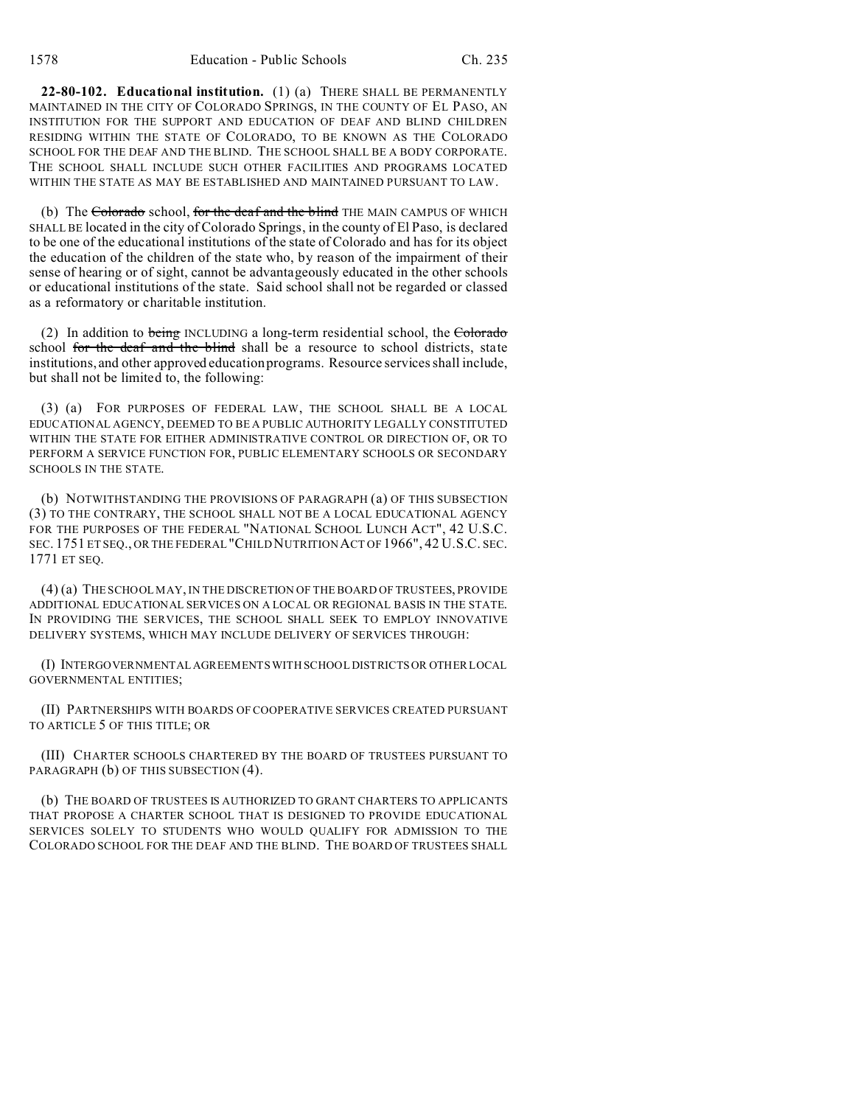**22-80-102. Educational institution.** (1) (a) THERE SHALL BE PERMANENTLY MAINTAINED IN THE CITY OF COLORADO SPRINGS, IN THE COUNTY OF EL PASO, AN INSTITUTION FOR THE SUPPORT AND EDUCATION OF DEAF AND BLIND CHILDREN RESIDING WITHIN THE STATE OF COLORADO, TO BE KNOWN AS THE COLORADO SCHOOL FOR THE DEAF AND THE BLIND. THE SCHOOL SHALL BE A BODY CORPORATE. THE SCHOOL SHALL INCLUDE SUCH OTHER FACILITIES AND PROGRAMS LOCATED WITHIN THE STATE AS MAY BE ESTABLISHED AND MAINTAINED PURSUANT TO LAW.

(b) The Colorado school, for the deaf and the blind THE MAIN CAMPUS OF WHICH SHALL BE located in the city of Colorado Springs, in the county of El Paso, is declared to be one of the educational institutions of the state of Colorado and has for its object the education of the children of the state who, by reason of the impairment of their sense of hearing or of sight, cannot be advantageously educated in the other schools or educational institutions of the state. Said school shall not be regarded or classed as a reformatory or charitable institution.

(2) In addition to being INCLUDING a long-term residential school, the  $Cobrado$ school for the deaf and the blind shall be a resource to school districts, state institutions, and other approved education programs. Resource services shall include, but shall not be limited to, the following:

(3) (a) FOR PURPOSES OF FEDERAL LAW, THE SCHOOL SHALL BE A LOCAL EDUCATIONAL AGENCY, DEEMED TO BE A PUBLIC AUTHORITY LEGALLY CONSTITUTED WITHIN THE STATE FOR EITHER ADMINISTRATIVE CONTROL OR DIRECTION OF, OR TO PERFORM A SERVICE FUNCTION FOR, PUBLIC ELEMENTARY SCHOOLS OR SECONDARY SCHOOLS IN THE STATE.

(b) NOTWITHSTANDING THE PROVISIONS OF PARAGRAPH (a) OF THIS SUBSECTION (3) TO THE CONTRARY, THE SCHOOL SHALL NOT BE A LOCAL EDUCATIONAL AGENCY FOR THE PURPOSES OF THE FEDERAL "NATIONAL SCHOOL LUNCH ACT", 42 U.S.C. SEC. 1751 ET SEQ., OR THE FEDERAL "CHILD NUTRITION ACT OF 1966", 42 U.S.C. SEC. 1771 ET SEQ.

(4) (a) THE SCHOOL MAY, IN THE DISCRETION OF THE BOARD OF TRUSTEES, PROVIDE ADDITIONAL EDUCATIONAL SERVICES ON A LOCAL OR REGIONAL BASIS IN THE STATE. IN PROVIDING THE SERVICES, THE SCHOOL SHALL SEEK TO EMPLOY INNOVATIVE DELIVERY SYSTEMS, WHICH MAY INCLUDE DELIVERY OF SERVICES THROUGH:

(I) INTERGOVERNMENTAL AGREEMENTS WITH SCHOOL DISTRICTS OR OTHER LOCAL GOVERNMENTAL ENTITIES;

(II) PARTNERSHIPS WITH BOARDS OF COOPERATIVE SERVICES CREATED PURSUANT TO ARTICLE 5 OF THIS TITLE; OR

(III) CHARTER SCHOOLS CHARTERED BY THE BOARD OF TRUSTEES PURSUANT TO PARAGRAPH (b) OF THIS SUBSECTION (4).

(b) THE BOARD OF TRUSTEES IS AUTHORIZED TO GRANT CHARTERS TO APPLICANTS THAT PROPOSE A CHARTER SCHOOL THAT IS DESIGNED TO PROVIDE EDUCATIONAL SERVICES SOLELY TO STUDENTS WHO WOULD QUALIFY FOR ADMISSION TO THE COLORADO SCHOOL FOR THE DEAF AND THE BLIND. THE BOARD OF TRUSTEES SHALL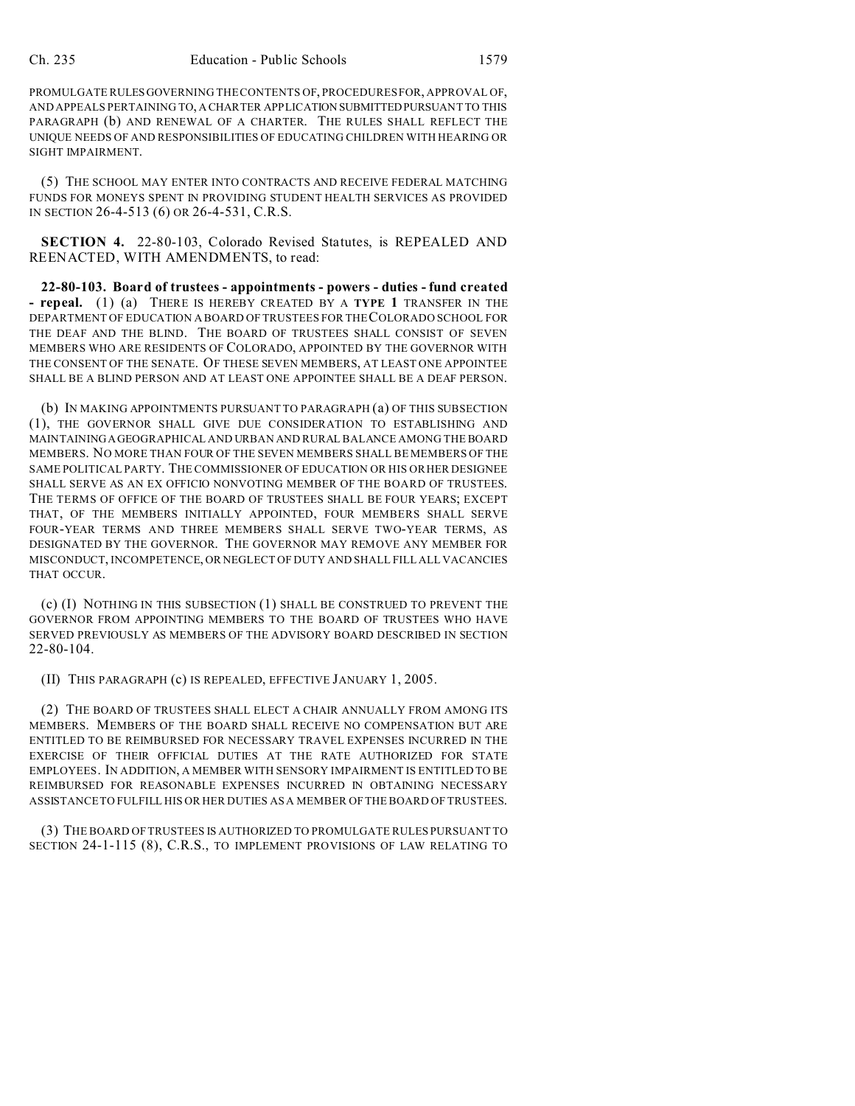PROMULGATE RULESGOVERNING THE CONTENTS OF, PROCEDURES FOR, APPROVAL OF, AND APPEALS PERTAINING TO, A CHARTER APPLICATION SUBMITTEDPURSUANT TO THIS PARAGRAPH (b) AND RENEWAL OF A CHARTER. THE RULES SHALL REFLECT THE UNIQUE NEEDS OF AND RESPONSIBILITIES OF EDUCATING CHILDREN WITH HEARING OR SIGHT IMPAIRMENT.

(5) THE SCHOOL MAY ENTER INTO CONTRACTS AND RECEIVE FEDERAL MATCHING FUNDS FOR MONEYS SPENT IN PROVIDING STUDENT HEALTH SERVICES AS PROVIDED IN SECTION 26-4-513 (6) OR 26-4-531, C.R.S.

**SECTION 4.** 22-80-103, Colorado Revised Statutes, is REPEALED AND REENACTED, WITH AMENDMENTS, to read:

**22-80-103. Board of trustees - appointments - powers - duties - fund created - repeal.** (1) (a) THERE IS HEREBY CREATED BY A **TYPE 1** TRANSFER IN THE DEPARTMENT OF EDUCATION A BOARD OF TRUSTEES FOR THE COLORADO SCHOOL FOR THE DEAF AND THE BLIND. THE BOARD OF TRUSTEES SHALL CONSIST OF SEVEN MEMBERS WHO ARE RESIDENTS OF COLORADO, APPOINTED BY THE GOVERNOR WITH THE CONSENT OF THE SENATE. OF THESE SEVEN MEMBERS, AT LEAST ONE APPOINTEE SHALL BE A BLIND PERSON AND AT LEAST ONE APPOINTEE SHALL BE A DEAF PERSON.

(b) IN MAKING APPOINTMENTS PURSUANT TO PARAGRAPH (a) OF THIS SUBSECTION (1), THE GOVERNOR SHALL GIVE DUE CONSIDERATION TO ESTABLISHING AND MAINTAININGAGEOGRAPHICAL AND URBAN AND RURAL BALANCE AMONG THE BOARD MEMBERS. NO MORE THAN FOUR OF THE SEVEN MEMBERS SHALL BE MEMBERS OF THE SAME POLITICAL PARTY. THE COMMISSIONER OF EDUCATION OR HIS OR HER DESIGNEE SHALL SERVE AS AN EX OFFICIO NONVOTING MEMBER OF THE BOARD OF TRUSTEES. THE TERMS OF OFFICE OF THE BOARD OF TRUSTEES SHALL BE FOUR YEARS; EXCEPT THAT, OF THE MEMBERS INITIALLY APPOINTED, FOUR MEMBERS SHALL SERVE FOUR-YEAR TERMS AND THREE MEMBERS SHALL SERVE TWO-YEAR TERMS, AS DESIGNATED BY THE GOVERNOR. THE GOVERNOR MAY REMOVE ANY MEMBER FOR MISCONDUCT, INCOMPETENCE, OR NEGLECT OF DUTY AND SHALL FILL ALL VACANCIES THAT OCCUR.

(c) (I) NOTHING IN THIS SUBSECTION (1) SHALL BE CONSTRUED TO PREVENT THE GOVERNOR FROM APPOINTING MEMBERS TO THE BOARD OF TRUSTEES WHO HAVE SERVED PREVIOUSLY AS MEMBERS OF THE ADVISORY BOARD DESCRIBED IN SECTION 22-80-104.

(II) THIS PARAGRAPH (c) IS REPEALED, EFFECTIVE JANUARY 1, 2005.

(2) THE BOARD OF TRUSTEES SHALL ELECT A CHAIR ANNUALLY FROM AMONG ITS MEMBERS. MEMBERS OF THE BOARD SHALL RECEIVE NO COMPENSATION BUT ARE ENTITLED TO BE REIMBURSED FOR NECESSARY TRAVEL EXPENSES INCURRED IN THE EXERCISE OF THEIR OFFICIAL DUTIES AT THE RATE AUTHORIZED FOR STATE EMPLOYEES. IN ADDITION, A MEMBER WITH SENSORY IMPAIRMENT IS ENTITLED TO BE REIMBURSED FOR REASONABLE EXPENSES INCURRED IN OBTAINING NECESSARY ASSISTANCE TO FULFILL HIS OR HER DUTIES AS A MEMBER OF THE BOARD OF TRUSTEES.

(3) THE BOARD OF TRUSTEES IS AUTHORIZED TO PROMULGATE RULES PURSUANT TO SECTION 24-1-115 (8), C.R.S., TO IMPLEMENT PROVISIONS OF LAW RELATING TO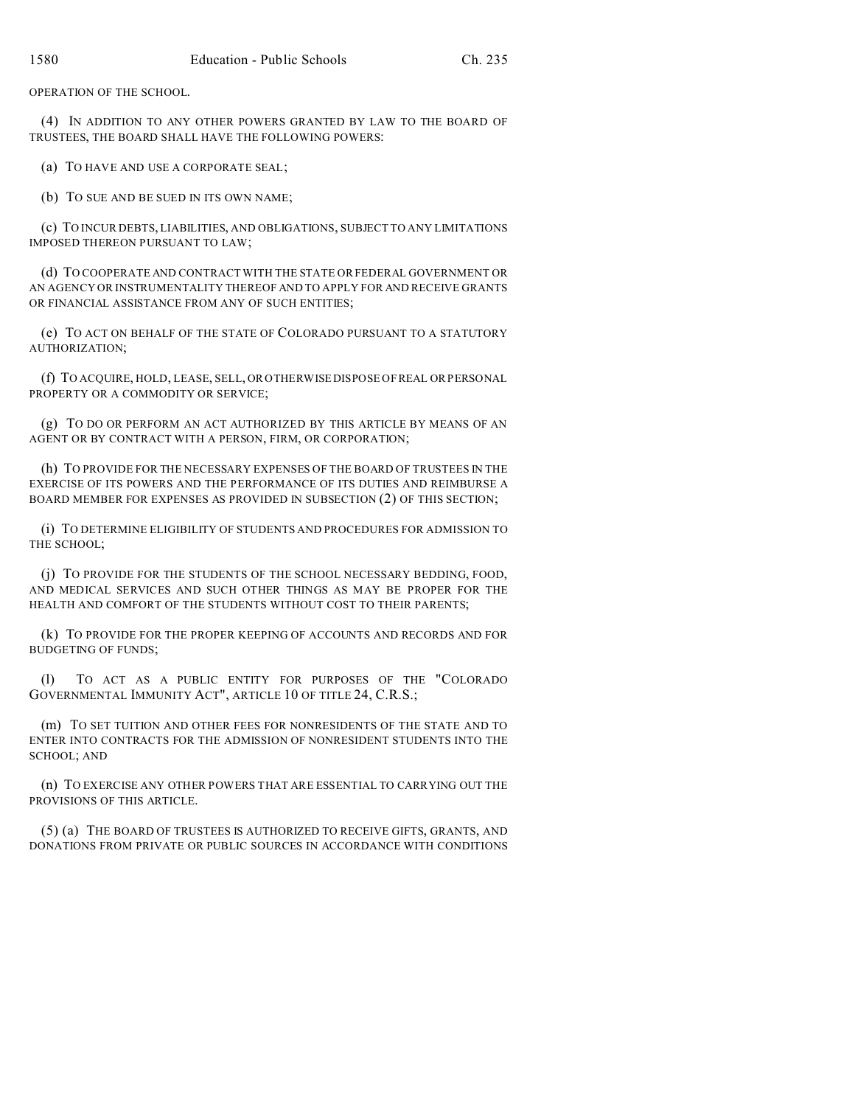OPERATION OF THE SCHOOL.

(4) IN ADDITION TO ANY OTHER POWERS GRANTED BY LAW TO THE BOARD OF TRUSTEES, THE BOARD SHALL HAVE THE FOLLOWING POWERS:

(a) TO HAVE AND USE A CORPORATE SEAL;

(b) TO SUE AND BE SUED IN ITS OWN NAME;

(c) TO INCUR DEBTS, LIABILITIES, AND OBLIGATIONS, SUBJECT TO ANY LIMITATIONS IMPOSED THEREON PURSUANT TO LAW;

(d) TO COOPERATE AND CONTRACT WITH THE STATE OR FEDERAL GOVERNMENT OR AN AGENCY OR INSTRUMENTALITY THEREOF AND TO APPLY FOR AND RECEIVE GRANTS OR FINANCIAL ASSISTANCE FROM ANY OF SUCH ENTITIES:

(e) TO ACT ON BEHALF OF THE STATE OF COLORADO PURSUANT TO A STATUTORY AUTHORIZATION;

(f) TO ACQUIRE, HOLD, LEASE, SELL, OR OTHERWISE DISPOSE OF REAL OR PERSONAL PROPERTY OR A COMMODITY OR SERVICE;

(g) TO DO OR PERFORM AN ACT AUTHORIZED BY THIS ARTICLE BY MEANS OF AN AGENT OR BY CONTRACT WITH A PERSON, FIRM, OR CORPORATION;

(h) TO PROVIDE FOR THE NECESSARY EXPENSES OF THE BOARD OF TRUSTEES IN THE EXERCISE OF ITS POWERS AND THE PERFORMANCE OF ITS DUTIES AND REIMBURSE A BOARD MEMBER FOR EXPENSES AS PROVIDED IN SUBSECTION (2) OF THIS SECTION;

(i) TO DETERMINE ELIGIBILITY OF STUDENTS AND PROCEDURES FOR ADMISSION TO THE SCHOOL;

(j) TO PROVIDE FOR THE STUDENTS OF THE SCHOOL NECESSARY BEDDING, FOOD, AND MEDICAL SERVICES AND SUCH OTHER THINGS AS MAY BE PROPER FOR THE HEALTH AND COMFORT OF THE STUDENTS WITHOUT COST TO THEIR PARENTS;

(k) TO PROVIDE FOR THE PROPER KEEPING OF ACCOUNTS AND RECORDS AND FOR BUDGETING OF FUNDS;

(l) TO ACT AS A PUBLIC ENTITY FOR PURPOSES OF THE "COLORADO GOVERNMENTAL IMMUNITY ACT", ARTICLE 10 OF TITLE 24, C.R.S.;

(m) TO SET TUITION AND OTHER FEES FOR NONRESIDENTS OF THE STATE AND TO ENTER INTO CONTRACTS FOR THE ADMISSION OF NONRESIDENT STUDENTS INTO THE SCHOOL; AND

(n) TO EXERCISE ANY OTHER POWERS THAT ARE ESSENTIAL TO CARRYING OUT THE PROVISIONS OF THIS ARTICLE.

(5) (a) THE BOARD OF TRUSTEES IS AUTHORIZED TO RECEIVE GIFTS, GRANTS, AND DONATIONS FROM PRIVATE OR PUBLIC SOURCES IN ACCORDANCE WITH CONDITIONS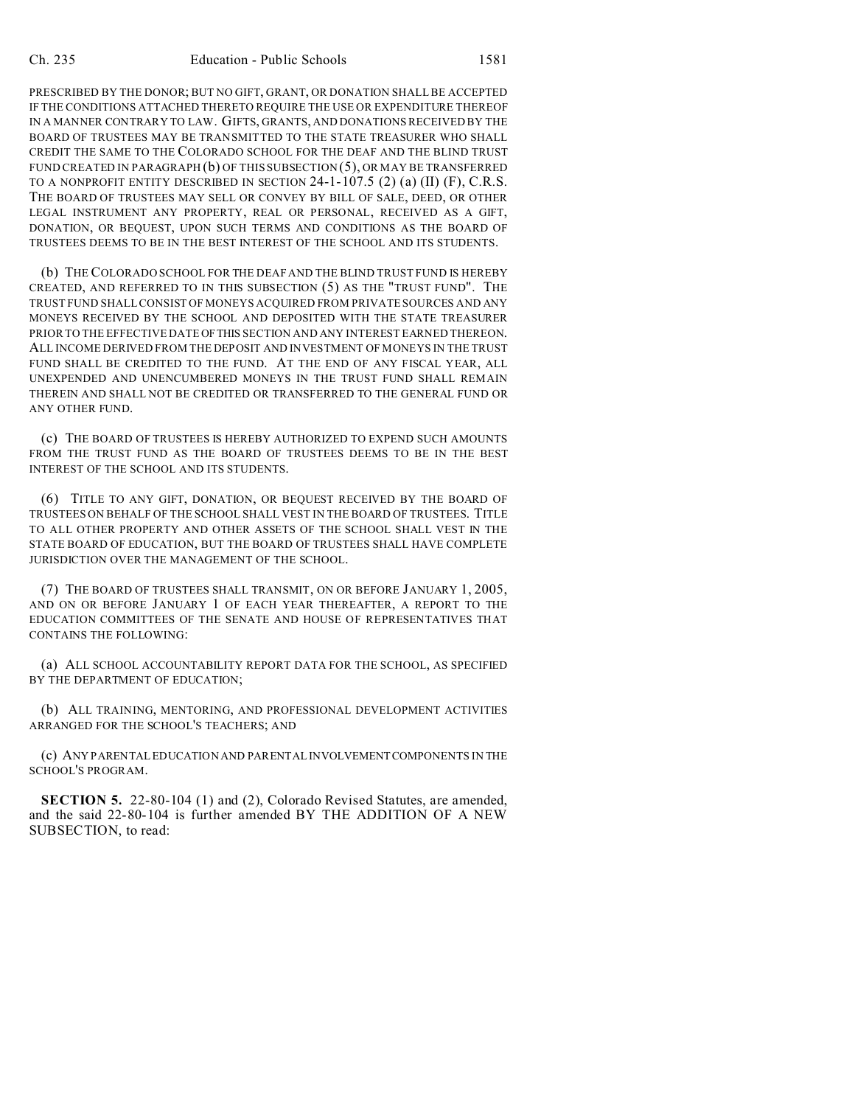PRESCRIBED BY THE DONOR; BUT NO GIFT, GRANT, OR DONATION SHALL BE ACCEPTED IF THE CONDITIONS ATTACHED THERETO REQUIRE THE USE OR EXPENDITURE THEREOF IN A MANNER CONTRARY TO LAW. GIFTS, GRANTS, AND DONATIONS RECEIVED BY THE BOARD OF TRUSTEES MAY BE TRANSMITTED TO THE STATE TREASURER WHO SHALL CREDIT THE SAME TO THE COLORADO SCHOOL FOR THE DEAF AND THE BLIND TRUST FUND CREATED IN PARAGRAPH (b) OF THIS SUBSECTION (5), OR MAY BE TRANSFERRED TO A NONPROFIT ENTITY DESCRIBED IN SECTION 24-1-107.5 (2) (a) (II) (F), C.R.S. THE BOARD OF TRUSTEES MAY SELL OR CONVEY BY BILL OF SALE, DEED, OR OTHER LEGAL INSTRUMENT ANY PROPERTY, REAL OR PERSONAL, RECEIVED AS A GIFT, DONATION, OR BEQUEST, UPON SUCH TERMS AND CONDITIONS AS THE BOARD OF TRUSTEES DEEMS TO BE IN THE BEST INTEREST OF THE SCHOOL AND ITS STUDENTS.

(b) THE COLORADO SCHOOL FOR THE DEAF AND THE BLIND TRUST FUND IS HEREBY CREATED, AND REFERRED TO IN THIS SUBSECTION (5) AS THE "TRUST FUND". THE TRUST FUND SHALL CONSIST OF MONEYS ACQUIRED FROM PRIVATE SOURCES AND ANY MONEYS RECEIVED BY THE SCHOOL AND DEPOSITED WITH THE STATE TREASURER PRIOR TO THE EFFECTIVE DATE OFTHIS SECTION AND ANY INTEREST EARNED THEREON. ALL INCOME DERIVED FROM THE DEPOSIT AND INVESTMENT OF MONEYS IN THE TRUST FUND SHALL BE CREDITED TO THE FUND. AT THE END OF ANY FISCAL YEAR, ALL UNEXPENDED AND UNENCUMBERED MONEYS IN THE TRUST FUND SHALL REMAIN THEREIN AND SHALL NOT BE CREDITED OR TRANSFERRED TO THE GENERAL FUND OR ANY OTHER FUND.

(c) THE BOARD OF TRUSTEES IS HEREBY AUTHORIZED TO EXPEND SUCH AMOUNTS FROM THE TRUST FUND AS THE BOARD OF TRUSTEES DEEMS TO BE IN THE BEST INTEREST OF THE SCHOOL AND ITS STUDENTS.

(6) TITLE TO ANY GIFT, DONATION, OR BEQUEST RECEIVED BY THE BOARD OF TRUSTEES ON BEHALF OF THE SCHOOL SHALL VEST IN THE BOARD OF TRUSTEES. TITLE TO ALL OTHER PROPERTY AND OTHER ASSETS OF THE SCHOOL SHALL VEST IN THE STATE BOARD OF EDUCATION, BUT THE BOARD OF TRUSTEES SHALL HAVE COMPLETE JURISDICTION OVER THE MANAGEMENT OF THE SCHOOL.

(7) THE BOARD OF TRUSTEES SHALL TRANSMIT, ON OR BEFORE JANUARY 1, 2005, AND ON OR BEFORE JANUARY 1 OF EACH YEAR THEREAFTER, A REPORT TO THE EDUCATION COMMITTEES OF THE SENATE AND HOUSE OF REPRESENTATIVES THAT CONTAINS THE FOLLOWING:

(a) ALL SCHOOL ACCOUNTABILITY REPORT DATA FOR THE SCHOOL, AS SPECIFIED BY THE DEPARTMENT OF EDUCATION;

(b) ALL TRAINING, MENTORING, AND PROFESSIONAL DEVELOPMENT ACTIVITIES ARRANGED FOR THE SCHOOL'S TEACHERS; AND

(c) ANY PARENTAL EDUCATION AND PARENTAL INVOLVEMENTCOMPONENTS IN THE SCHOOL'S PROGRAM.

**SECTION 5.** 22-80-104 (1) and (2), Colorado Revised Statutes, are amended, and the said 22-80-104 is further amended BY THE ADDITION OF A NEW SUBSECTION, to read: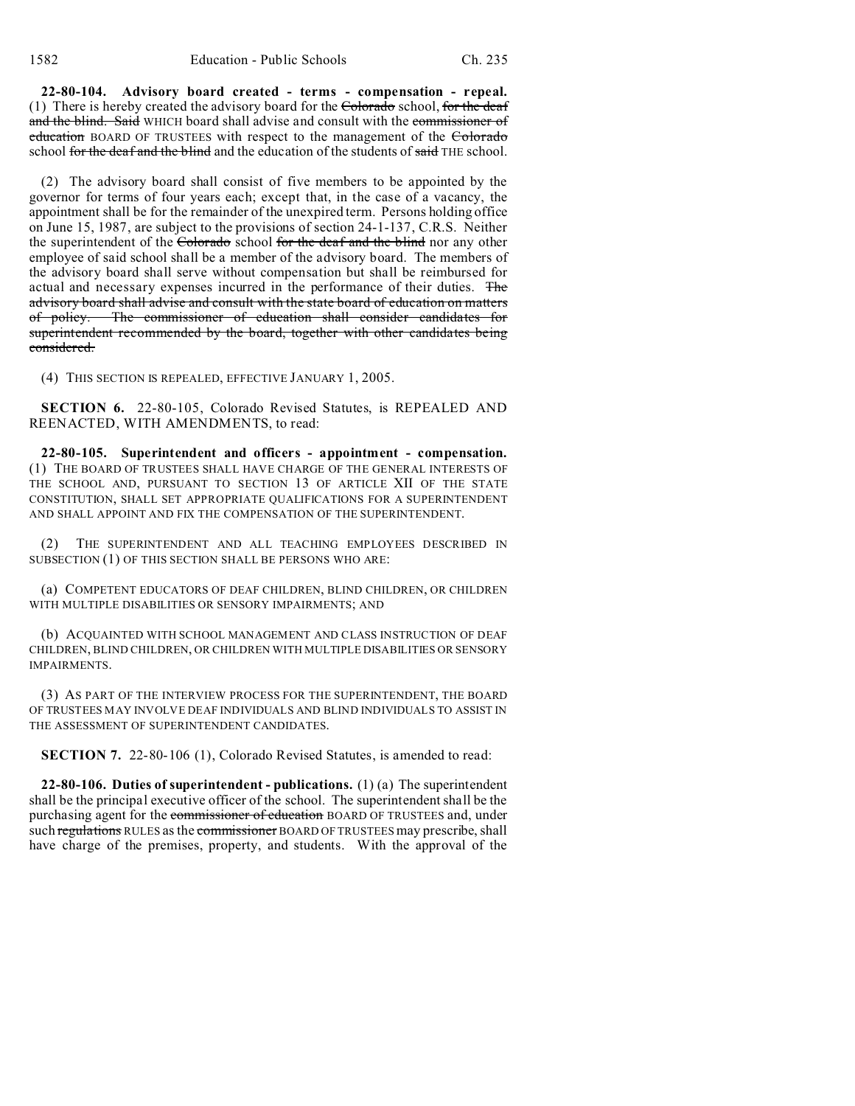**22-80-104. Advisory board created - terms - compensation - repeal.** (1) There is hereby created the advisory board for the  $\overline{\text{Colorado}}$  school, for the deaf and the blind. Said WHICH board shall advise and consult with the commissioner of education BOARD OF TRUSTEES with respect to the management of the Colorado school for the deaf and the blind and the education of the students of said THE school.

(2) The advisory board shall consist of five members to be appointed by the governor for terms of four years each; except that, in the case of a vacancy, the appointment shall be for the remainder of the unexpired term. Persons holding office on June 15, 1987, are subject to the provisions of section 24-1-137, C.R.S. Neither the superintendent of the Colorado school for the deaf and the blind nor any other employee of said school shall be a member of the advisory board. The members of the advisory board shall serve without compensation but shall be reimbursed for actual and necessary expenses incurred in the performance of their duties. The advisory board shall advise and consult with the state board of education on matters of policy. The commissioner of education shall consider candidates for superintendent recommended by the board, together with other candidates being considered.

(4) THIS SECTION IS REPEALED, EFFECTIVE JANUARY 1, 2005.

**SECTION 6.** 22-80-105, Colorado Revised Statutes, is REPEALED AND REENACTED, WITH AMENDMENTS, to read:

**22-80-105. Superintendent and officers - appointment - compensation.** (1) THE BOARD OF TRUSTEES SHALL HAVE CHARGE OF THE GENERAL INTERESTS OF THE SCHOOL AND, PURSUANT TO SECTION 13 OF ARTICLE XII OF THE STATE CONSTITUTION, SHALL SET APPROPRIATE QUALIFICATIONS FOR A SUPERINTENDENT AND SHALL APPOINT AND FIX THE COMPENSATION OF THE SUPERINTENDENT.

(2) THE SUPERINTENDENT AND ALL TEACHING EMPLOYEES DESCRIBED IN SUBSECTION (1) OF THIS SECTION SHALL BE PERSONS WHO ARE:

(a) COMPETENT EDUCATORS OF DEAF CHILDREN, BLIND CHILDREN, OR CHILDREN WITH MULTIPLE DISABILITIES OR SENSORY IMPAIRMENTS; AND

(b) ACQUAINTED WITH SCHOOL MANAGEMENT AND CLASS INSTRUCTION OF DEAF CHILDREN, BLIND CHILDREN, OR CHILDREN WITH MULTIPLE DISABILITIES OR SENSORY IMPAIRMENTS.

(3) AS PART OF THE INTERVIEW PROCESS FOR THE SUPERINTENDENT, THE BOARD OF TRUSTEES MAY INVOLVE DEAF INDIVIDUALS AND BLIND INDIVIDUALS TO ASSIST IN THE ASSESSMENT OF SUPERINTENDENT CANDIDATES.

**SECTION 7.** 22-80-106 (1), Colorado Revised Statutes, is amended to read:

**22-80-106. Duties of superintendent - publications.** (1) (a) The superintendent shall be the principal executive officer of the school. The superintendent shall be the purchasing agent for the commissioner of education BOARD OF TRUSTEES and, under such regulations RULES as the commissioner BOARD OF TRUSTEES may prescribe, shall have charge of the premises, property, and students. With the approval of the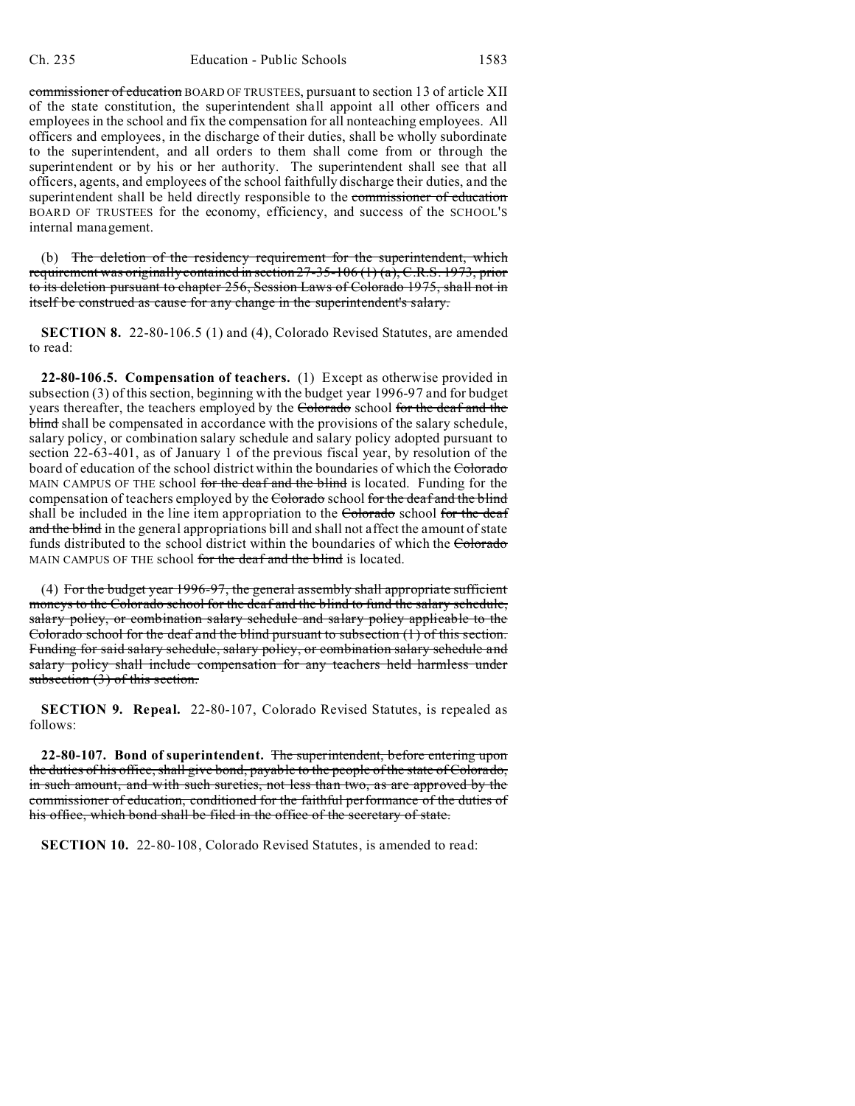commissioner of education BOARD OF TRUSTEES, pursuant to section 13 of article XII of the state constitution, the superintendent shall appoint all other officers and employees in the school and fix the compensation for all nonteaching employees. All officers and employees, in the discharge of their duties, shall be wholly subordinate to the superintendent, and all orders to them shall come from or through the superintendent or by his or her authority. The superintendent shall see that all officers, agents, and employees of the school faithfully discharge their duties, and the superintendent shall be held directly responsible to the commissioner of education BOARD OF TRUSTEES for the economy, efficiency, and success of the SCHOOL'S internal management.

(b) The deletion of the residency requirement for the superintendent, which requirement was originally contained in section 27-35-106 (1) (a), C.R.S. 1973, prior to its deletion pursuant to chapter 256, Session Laws of Colorado 1975, shall not in itself be construed as cause for any change in the superintendent's salary.

**SECTION 8.** 22-80-106.5 (1) and (4), Colorado Revised Statutes, are amended to read:

**22-80-106.5. Compensation of teachers.** (1) Except as otherwise provided in subsection (3) of this section, beginning with the budget year 1996-97 and for budget years thereafter, the teachers employed by the Colorado school for the deaf and the blind shall be compensated in accordance with the provisions of the salary schedule, salary policy, or combination salary schedule and salary policy adopted pursuant to section 22-63-401, as of January 1 of the previous fiscal year, by resolution of the board of education of the school district within the boundaries of which the Colorado MAIN CAMPUS OF THE school for the deaf and the blind is located. Funding for the compensation of teachers employed by the Colorado school for the deaf and the blind shall be included in the line item appropriation to the Colorado school for the deaf and the blind in the general appropriations bill and shall not affect the amount of state funds distributed to the school district within the boundaries of which the Colorado MAIN CAMPUS OF THE school for the deaf and the blind is located.

(4) For the budget year 1996-97, the general assembly shall appropriate sufficient moneys to the Colorado school for the deaf and the blind to fund the salary schedule, salary policy, or combination salary schedule and salary policy applicable to the Colorado school for the deaf and the blind pursuant to subsection (1) of this section. Funding for said salary schedule, salary policy, or combination salary schedule and salary policy shall include compensation for any teachers held harmless under subsection (3) of this section.

**SECTION 9. Repeal.** 22-80-107, Colorado Revised Statutes, is repealed as follows:

**22-80-107. Bond of superintendent.** The superintendent, before entering upon the duties of his office, shall give bond, payable to the people of the state of Colorado, in such amount, and with such sureties, not less than two, as are approved by the commissioner of education, conditioned for the faithful performance of the duties of his office, which bond shall be filed in the office of the secretary of state.

**SECTION 10.** 22-80-108, Colorado Revised Statutes, is amended to read: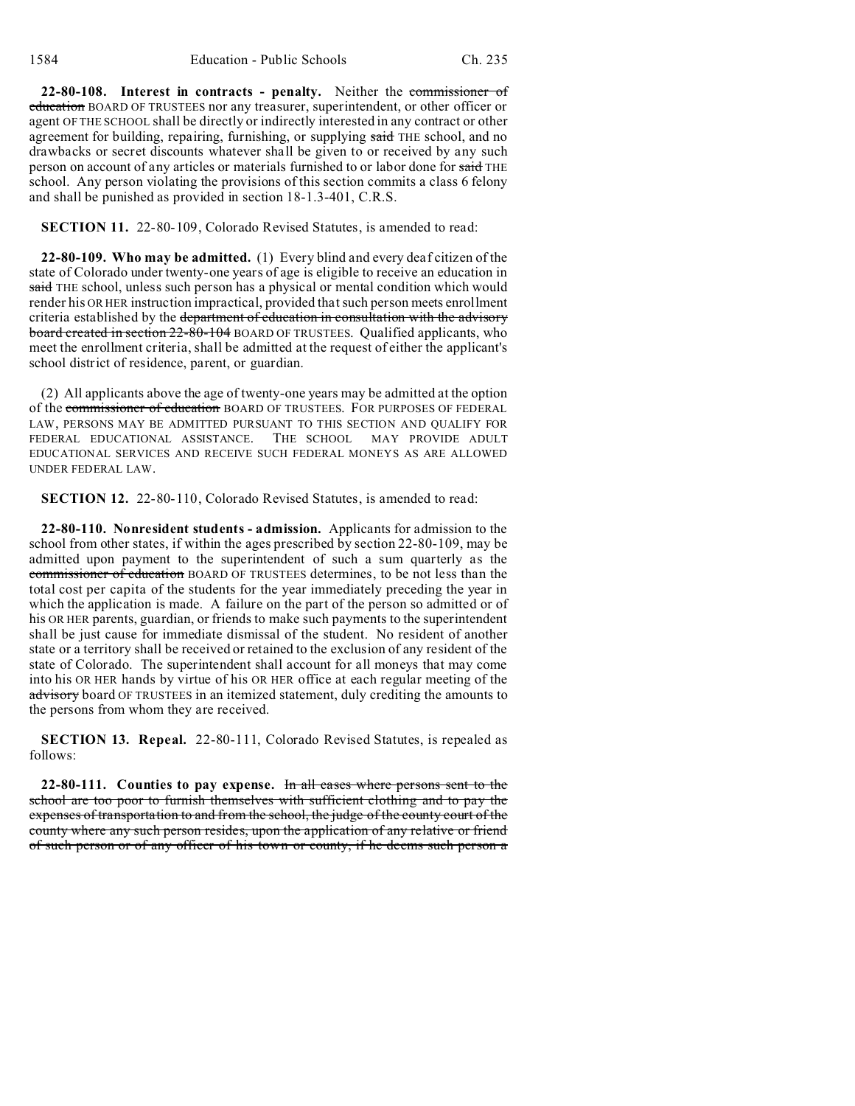**22-80-108. Interest in contracts - penalty.** Neither the commissioner of education BOARD OF TRUSTEES nor any treasurer, superintendent, or other officer or agent OF THE SCHOOL shall be directly or indirectly interested in any contract or other agreement for building, repairing, furnishing, or supplying said THE school, and no drawbacks or secret discounts whatever shall be given to or received by any such person on account of any articles or materials furnished to or labor done for said THE school. Any person violating the provisions of this section commits a class 6 felony and shall be punished as provided in section 18-1.3-401, C.R.S.

**SECTION 11.** 22-80-109, Colorado Revised Statutes, is amended to read:

**22-80-109. Who may be admitted.** (1) Every blind and every deaf citizen of the state of Colorado under twenty-one years of age is eligible to receive an education in said THE school, unless such person has a physical or mental condition which would render his OR HER instruction impractical, provided that such person meets enrollment criteria established by the department of education in consultation with the advisory board created in section 22-80-104 BOARD OF TRUSTEES. Qualified applicants, who meet the enrollment criteria, shall be admitted at the request of either the applicant's school district of residence, parent, or guardian.

(2) All applicants above the age of twenty-one years may be admitted at the option of the commissioner of education BOARD OF TRUSTEES. FOR PURPOSES OF FEDERAL LAW, PERSONS MAY BE ADMITTED PURSUANT TO THIS SECTION AND QUALIFY FOR FEDERAL EDUCATIONAL ASSISTANCE. THE SCHOOL MAY PROVIDE ADULT EDUCATIONAL SERVICES AND RECEIVE SUCH FEDERAL MONEYS AS ARE ALLOWED UNDER FEDERAL LAW.

**SECTION 12.** 22-80-110, Colorado Revised Statutes, is amended to read:

**22-80-110. Nonresident students - admission.** Applicants for admission to the school from other states, if within the ages prescribed by section 22-80-109, may be admitted upon payment to the superintendent of such a sum quarterly as the commissioner of education BOARD OF TRUSTEES determines, to be not less than the total cost per capita of the students for the year immediately preceding the year in which the application is made. A failure on the part of the person so admitted or of his OR HER parents, guardian, or friends to make such payments to the superintendent shall be just cause for immediate dismissal of the student. No resident of another state or a territory shall be received or retained to the exclusion of any resident of the state of Colorado. The superintendent shall account for all moneys that may come into his OR HER hands by virtue of his OR HER office at each regular meeting of the advisory board OF TRUSTEES in an itemized statement, duly crediting the amounts to the persons from whom they are received.

**SECTION 13. Repeal.** 22-80-111, Colorado Revised Statutes, is repealed as follows:

**22-80-111. Counties to pay expense.** In all cases where persons sent to the school are too poor to furnish themselves with sufficient clothing and to pay the expenses of transportation to and from the school, the judge of the county court of the county where any such person resides, upon the application of any relative or friend of such person or of any officer of his town or county, if he deems such person a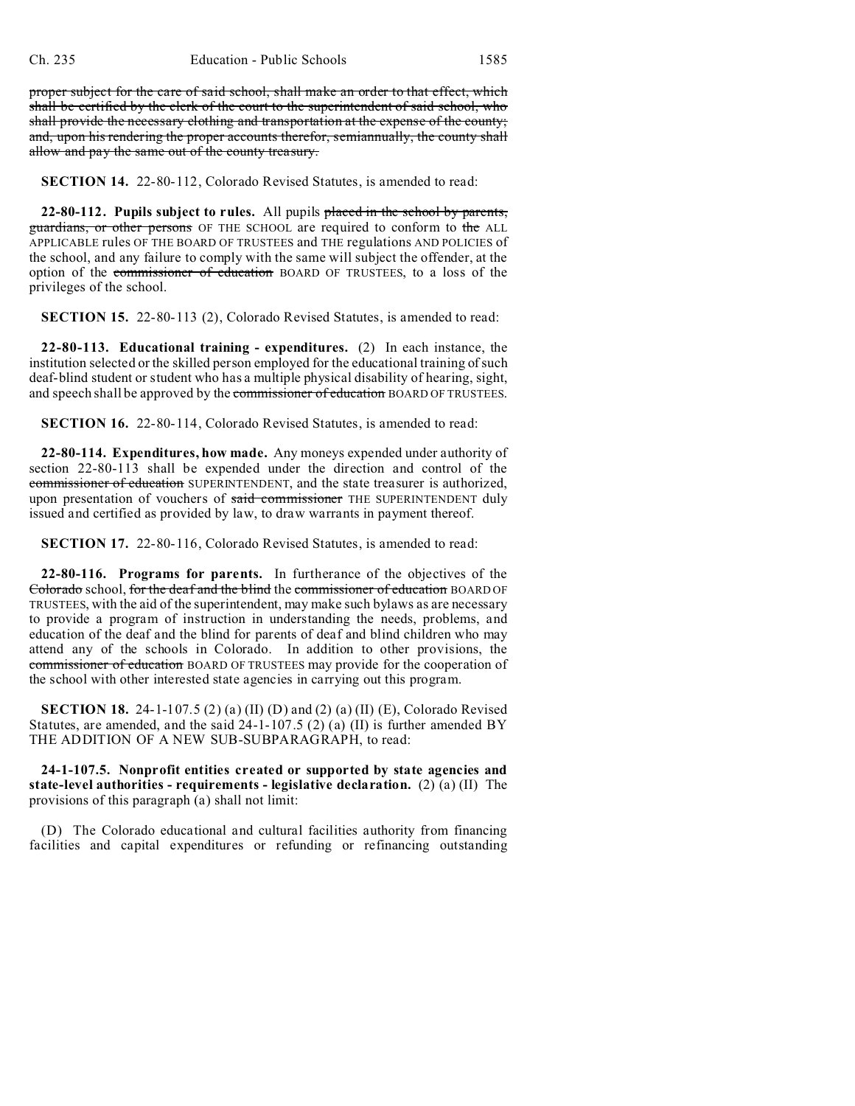proper subject for the care of said school, shall make an order to that effect, which shall be certified by the clerk of the court to the superintendent of said school, who shall provide the necessary clothing and transportation at the expense of the county; and, upon his rendering the proper accounts therefor, semiannually, the county shall allow and pay the same out of the county treasury.

**SECTION 14.** 22-80-112, Colorado Revised Statutes, is amended to read:

**22-80-112. Pupils subject to rules.** All pupils placed in the school by parents, guardians, or other persons OF THE SCHOOL are required to conform to the ALL APPLICABLE rules OF THE BOARD OF TRUSTEES and THE regulations AND POLICIES of the school, and any failure to comply with the same will subject the offender, at the option of the commissioner of education BOARD OF TRUSTEES, to a loss of the privileges of the school.

**SECTION 15.** 22-80-113 (2), Colorado Revised Statutes, is amended to read:

**22-80-113. Educational training - expenditures.** (2) In each instance, the institution selected or the skilled person employed for the educational training of such deaf-blind student or student who has a multiple physical disability of hearing, sight, and speech shall be approved by the commissioner of education BOARD OF TRUSTEES.

**SECTION 16.** 22-80-114, Colorado Revised Statutes, is amended to read:

**22-80-114. Expenditures, how made.** Any moneys expended under authority of section 22-80-113 shall be expended under the direction and control of the commissioner of education SUPERINTENDENT, and the state treasurer is authorized, upon presentation of vouchers of said commissioner THE SUPERINTENDENT duly issued and certified as provided by law, to draw warrants in payment thereof.

**SECTION 17.** 22-80-116, Colorado Revised Statutes, is amended to read:

**22-80-116. Programs for parents.** In furtherance of the objectives of the Colorado school, for the deaf and the blind the commissioner of education BOARD OF TRUSTEES, with the aid of the superintendent, may make such bylaws as are necessary to provide a program of instruction in understanding the needs, problems, and education of the deaf and the blind for parents of deaf and blind children who may attend any of the schools in Colorado. In addition to other provisions, the commissioner of education BOARD OF TRUSTEES may provide for the cooperation of the school with other interested state agencies in carrying out this program.

**SECTION 18.** 24-1-107.5 (2) (a) (II) (D) and (2) (a) (II) (E), Colorado Revised Statutes, are amended, and the said  $24-1-107.5$  (2) (a) (II) is further amended BY THE ADDITION OF A NEW SUB-SUBPARAGRAPH, to read:

**24-1-107.5. Nonprofit entities created or supported by state agencies and state-level authorities - requirements - legislative declaration.** (2) (a) (II) The provisions of this paragraph (a) shall not limit:

(D) The Colorado educational and cultural facilities authority from financing facilities and capital expenditures or refunding or refinancing outstanding